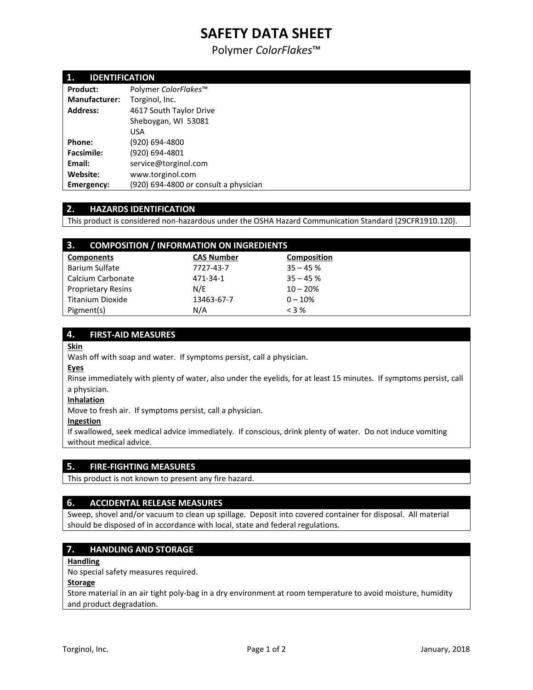# **SAFETY DATA SHEET**

Polymer *ColorFlakes*™

| 1.<br><b>IDENTIFICATION</b> |                                       |  |
|-----------------------------|---------------------------------------|--|
| Product:                    | Polymer ColorFlakes™                  |  |
| <b>Manufacturer:</b>        | Torginol, Inc.                        |  |
| <b>Address:</b>             | 4617 South Taylor Drive               |  |
|                             | Sheboygan, WI 53081                   |  |
|                             | <b>USA</b>                            |  |
| Phone:                      | (920) 694-4800                        |  |
| <b>Facsimile:</b>           | (920) 694-4801                        |  |
| Email:                      | service@torginol.com                  |  |
| Website:                    | www.torginol.com                      |  |
| <b>Emergency:</b>           | (920) 694-4800 or consult a physician |  |

# **2. HAZARDS IDENTIFICATION**

This product is considered non-hazardous under the OSHA Hazard Communication Standard (29CFR1910.120).

| 3.<br><b>COMPOSITION / INFORMATION ON INGREDIENTS</b> |                   |                    |  |  |
|-------------------------------------------------------|-------------------|--------------------|--|--|
| <b>Components</b>                                     | <b>CAS Number</b> | <b>Composition</b> |  |  |
| Barium Sulfate                                        | 7727-43-7         | $35 - 45%$         |  |  |
| Calcium Carbonate                                     | 471-34-1          | $35 - 45%$         |  |  |
| <b>Proprietary Resins</b>                             | N/E               | $10 - 20%$         |  |  |
| Titanium Dioxide                                      | 13463-67-7        | $0 - 10%$          |  |  |
| Pigment(s)                                            | N/A               | $<$ 3 %            |  |  |

## **4. FIRST-AID MEASURES**

## **Skin**

Wash off with soap and water. If symptoms persist, call a physician.

## **Eyes**

Rinse immediately with plenty of water, also under the eyelids, for at least 15 minutes. If symptoms persist, call a physician.

## **Inhalation**

Move to fresh air. If symptoms persist, call a physician.

### **Ingestion**

If swallowed, seek medical advice immediately. If conscious, drink plenty of water. Do not induce vomiting without medical advice.

## **5. FIRE-FIGHTING MEASURES**

This product is not known to present any fire hazard.

## **6. ACCIDENTAL RELEASE MEASURES**

Sweep, shovel and/or vacuum to clean up spillage. Deposit into covered container for disposal. All material should be disposed of in accordance with local, state and federal regulations.

## **7. HANDLING AND STORAGE**

## **Handling**

No special safety measures required.

### **Storage**

Store material in an air tight poly-bag in a dry environment at room temperature to avoid moisture, humidity and product degradation.